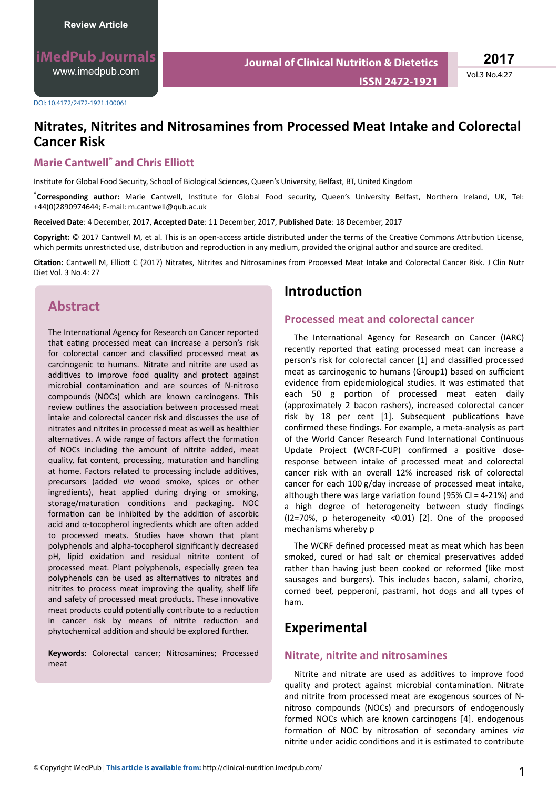**ISSN 2472-1921**

Vol.3 No.4:27

#### DOI: 10.4172/2472-1921.100061

# **Nitrates, Nitrites and Nitrosamines from Processed Meat Intake and Colorectal Cancer Risk**

### **Marie Cantwell\* and Chris Elliott**

Institute for Global Food Security, School of Biological Sciences, Queen's University, Belfast, BT, United Kingdom

\*Corresponding author: Marie Cantwell, Institute for Global Food security, Queen's University Belfast, Northern Ireland, UK, Tel: +44(0)2890974644; E-mail: m.cantwell@qub.ac.uk

**Received Date**: 4 December, 2017, **Accepted Date**: 11 December, 2017, **Published Date**: 18 December, 2017

**Copyright:** © 2017 Cantwell M, et al. This is an open-access article distributed under the terms of the Creative Commons Attribution License, which permits unrestricted use, distribution and reproduction in any medium, provided the original author and source are credited.

Citation: Cantwell M, Elliott C (2017) Nitrates, Nitrites and Nitrosamines from Processed Meat Intake and Colorectal Cancer Risk. J Clin Nutr Diet Vol. 3 No.4: 27

## **Abstract**

The International Agency for Research on Cancer reported that eating processed meat can increase a person's risk for colorectal cancer and classified processed meat as carcinogenic to humans. Nitrate and nitrite are used as additives to improve food quality and protect against microbial contamination and are sources of N-nitroso compounds (NOCs) which are known carcinogens. This review outlines the association between processed meat intake and colorectal cancer risk and discusses the use of nitrates and nitrites in processed meat as well as healthier alternatives. A wide range of factors affect the formation of NOCs including the amount of nitrite added, meat quality, fat content, processing, maturation and handling at home. Factors related to processing include additives, precursors (added *via* wood smoke, spices or other ingredients), heat applied during drying or smoking, storage/maturation conditions and packaging. NOC formation can be inhibited by the addition of ascorbic acid and  $α$ -tocopherol ingredients which are often added to processed meats. Studies have shown that plant polyphenols and alpha-tocopherol significantly decreased pH, lipid oxidation and residual nitrite content of processed meat. Plant polyphenols, especially green tea polyphenols can be used as alternatives to nitrates and nitrites to process meat improving the quality, shelf life and safety of processed meat products. These innovative meat products could potentially contribute to a reduction in cancer risk by means of nitrite reduction and phytochemical addition and should be explored further.

**Keywords**: Colorectal cancer; Nitrosamines; Processed meat

### **Introduction**

#### **Processed meat and colorectal cancer**

The International Agency for Research on Cancer (IARC) recently reported that eating processed meat can increase a person's risk for colorectal cancer [1] and classified processed meat as carcinogenic to humans (Group1) based on sufficient evidence from epidemiological studies. It was estimated that each 50 g portion of processed meat eaten daily (approximately 2 bacon rashers), increased colorectal cancer risk by 18 per cent [1]. Subsequent publications have confirmed these findings. For example, a meta-analysis as part of the World Cancer Research Fund International Continuous Update Project (WCRF-CUP) confirmed a positive doseresponse between intake of processed meat and colorectal cancer risk with an overall 12% increased risk of colorectal cancer for each 100 g/day increase of processed meat intake, although there was large variation found (95% CI = 4-21%) and a high degree of heterogeneity between study findings (I2=70%, p heterogeneity <0.01) [2]. One of the proposed mechanisms whereby p

The WCRF defined processed meat as meat which has been smoked, cured or had salt or chemical preservatives added rather than having just been cooked or reformed (like most sausages and burgers). This includes bacon, salami, chorizo, corned beef, pepperoni, pastrami, hot dogs and all types of ham.

## **Experimental**

#### **Nitrate, nitrite and nitrosamines**

Nitrite and nitrate are used as additives to improve food quality and protect against microbial contamination. Nitrate and nitrite from processed meat are exogenous sources of Nnitroso compounds (NOCs) and precursors of endogenously formed NOCs which are known carcinogens [4]. endogenous formation of NOC by nitrosation of secondary amines via nitrite under acidic conditions and it is estimated to contribute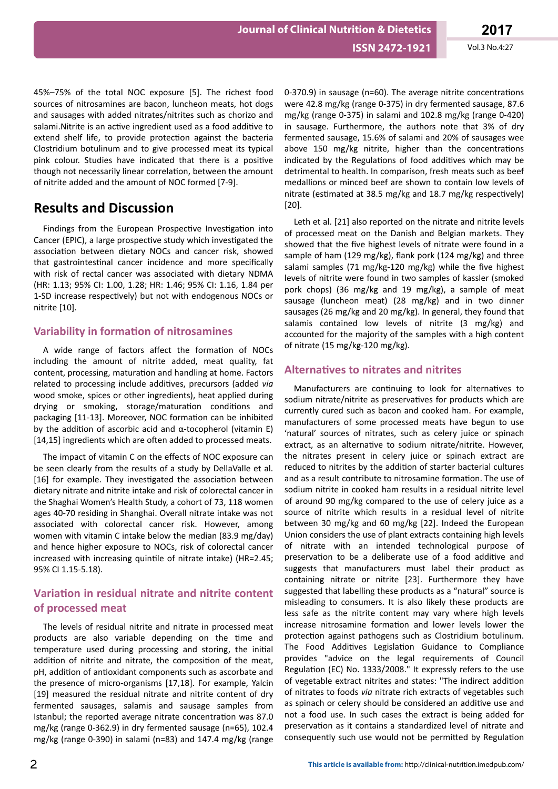45%–75% of the total NOC exposure [5]. The richest food sources of nitrosamines are bacon, luncheon meats, hot dogs and sausages with added nitrates/nitrites such as chorizo and salami. Nitrite is an active ingredient used as a food additive to extend shelf life, to provide protection against the bacteria Clostridium botulinum and to give processed meat its typical pink colour. Studies have indicated that there is a positive though not necessarily linear correlation, between the amount of nitrite added and the amount of NOC formed [7-9].

## **Results and Discussion**

Findings from the European Prospective Investigation into Cancer (EPIC), a large prospective study which investigated the association between dietary NOCs and cancer risk, showed that gastrointestinal cancer incidence and more specifically with risk of rectal cancer was associated with dietary NDMA (HR: 1.13; 95% CI: 1.00, 1.28; HR: 1.46; 95% CI: 1.16, 1.84 per 1-SD increase respectively) but not with endogenous NOCs or nitrite [10].

## **Variability in formation of nitrosamines**

A wide range of factors affect the formation of NOCs including the amount of nitrite added, meat quality, fat content, processing, maturation and handling at home. Factors related to processing include additives, precursors (added via wood smoke, spices or other ingredients), heat applied during drying or smoking, storage/maturation conditions and packaging [11-13]. Moreover, NOC formation can be inhibited by the addition of ascorbic acid and  $\alpha$ -tocopherol (vitamin E) [14,15] ingredients which are often added to processed meats.

The impact of vitamin C on the effects of NOC exposure can be seen clearly from the results of a study by DellaValle et al. [16] for example. They investigated the association between dietary nitrate and nitrite intake and risk of colorectal cancer in the Shaghai Women's Health Study, a cohort of 73, 118 women ages 40-70 residing in Shanghai. Overall nitrate intake was not associated with colorectal cancer risk. However, among women with vitamin C intake below the median (83.9 mg/day) and hence higher exposure to NOCs, risk of colorectal cancer increased with increasing quintile of nitrate intake) (HR=2.45; 95% CI 1.15-5.18).

## **Variation in residual nitrate and nitrite content of processed meat**

The levels of residual nitrite and nitrate in processed meat products are also variable depending on the time and temperature used during processing and storing, the initial addition of nitrite and nitrate, the composition of the meat, pH, addition of antioxidant components such as ascorbate and the presence of micro-organisms [17,18]. For example, Yalcin [19] measured the residual nitrate and nitrite content of dry fermented sausages, salamis and sausage samples from Istanbul; the reported average nitrate concentration was 87.0 mg/kg (range 0-362.9) in dry fermented sausage (n=65), 102.4 mg/kg (range 0-390) in salami (n=83) and 147.4 mg/kg (range

0-370.9) in sausage (n=60). The average nitrite concentrations were 42.8 mg/kg (range 0-375) in dry fermented sausage, 87.6 mg/kg (range 0-375) in salami and 102.8 mg/kg (range 0-420) in sausage. Furthermore, the authors note that 3% of dry fermented sausage, 15.6% of salami and 20% of sausages wee above 150 mg/kg nitrite, higher than the concentrations indicated by the Regulations of food additives which may be detrimental to health. In comparison, fresh meats such as beef medallions or minced beef are shown to contain low levels of nitrate (estimated at 38.5 mg/kg and 18.7 mg/kg respectively) [20].

Leth et al. [21] also reported on the nitrate and nitrite levels of processed meat on the Danish and Belgian markets. They showed that the five highest levels of nitrate were found in a sample of ham (129 mg/kg), flank pork (124 mg/kg) and three salami samples (71 mg/kg-120 mg/kg) while the five highest levels of nitrite were found in two samples of kassler (smoked pork chops) (36 mg/kg and 19 mg/kg), a sample of meat sausage (luncheon meat) (28 mg/kg) and in two dinner sausages (26 mg/kg and 20 mg/kg). In general, they found that salamis contained low levels of nitrite (3 mg/kg) and accounted for the majority of the samples with a high content of nitrate (15 mg/kg-120 mg/kg).

## **Alternatives to nitrates and nitrites**

Manufacturers are continuing to look for alternatives to sodium nitrate/nitrite as preservatives for products which are currently cured such as bacon and cooked ham. For example, manufacturers of some processed meats have begun to use 'natural' sources of nitrates, such as celery juice or spinach extract, as an alternative to sodium nitrate/nitrite. However, the nitrates present in celery juice or spinach extract are reduced to nitrites by the addition of starter bacterial cultures and as a result contribute to nitrosamine formation. The use of sodium nitrite in cooked ham results in a residual nitrite level of around 90 mg/kg compared to the use of celery juice as a source of nitrite which results in a residual level of nitrite between 30 mg/kg and 60 mg/kg [22]. Indeed the European Union considers the use of plant extracts containing high levels of nitrate with an intended technological purpose of preservation to be a deliberate use of a food additive and suggests that manufacturers must label their product as containing nitrate or nitrite [23]. Furthermore they have suggested that labelling these products as a "natural" source is misleading to consumers. It is also likely these products are less safe as the nitrite content may vary where high levels increase nitrosamine formation and lower levels lower the protection against pathogens such as Clostridium botulinum. The Food Additives Legislation Guidance to Compliance provides "advice on the legal requirements of Council Regulation (EC) No. 1333/2008." It expressly refers to the use of vegetable extract nitrites and states: "The indirect addition of nitrates to foods *via* nitrate rich extracts of vegetables such as spinach or celery should be considered an additive use and not a food use. In such cases the extract is being added for preservation as it contains a standardized level of nitrate and consequently such use would not be permitted by Regulation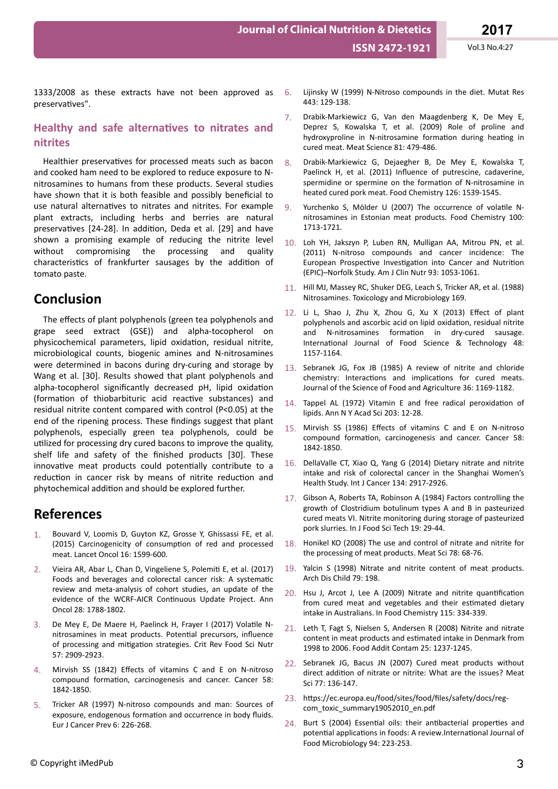1333/2008 as these extracts have not been approved as preservatives".

#### **Healthy and safe alternatives to nitrates and nitrites**

Healthier preservatives for processed meats such as bacon and cooked ham need to be explored to reduce exposure to Nnitrosamines to humans from these products. Several studies have shown that it is both feasible and possibly beneficial to use natural alternatives to nitrates and nitrites. For example plant extracts, including herbs and berries are natural preservatives [24-28]. In addition, Deda et al. [29] and have shown a promising example of reducing the nitrite level without compromising the processing and quality characteristics of frankfurter sausages by the addition of tomato paste.

## **Conclusion**

The effects of plant polyphenols (green tea polyphenols and grape seed extract (GSE)) and alpha-tocopherol on physicochemical parameters, lipid oxidation, residual nitrite, microbiological counts, biogenic amines and N-nitrosamines were determined in bacons during dry-curing and storage by Wang et al. [30]. Results showed that plant polyphenols and alpha-tocopherol significantly decreased pH, lipid oxidation (formation of thiobarbituric acid reactive substances) and residual nitrite content compared with control (P<0.05) at the end of the ripening process. These findings suggest that plant polyphenols, especially green tea polyphenols, could be utilized for processing dry cured bacons to improve the quality, shelf life and safety of the finished products [30]. These innovative meat products could potentially contribute to a reduction in cancer risk by means of nitrite reduction and phytochemical addition and should be explored further.

## **References**

- 1. Bouvard V, Loomis D, Guyton KZ, Grosse Y, Ghissassi FE, et al. (2015) Carcinogenicity of consumption of red and processed meat. Lancet Oncol 16: 1599-600.
- 2. Vieira AR, Abar L, Chan D, Vingeliene S, Polemiti E, et al. (2017) Foods and beverages and colorectal cancer risk: A systematic review and meta-analysis of cohort studies, an update of the evidence of the WCRF-AICR Continuous Update Project. Ann Oncol 28: 1788-1802.
- De Mey E, De Maere H, Paelinck H, Frayer I (2017) Volatile Nnitrosamines in meat products. Potential precursors, influence of processing and mitigation strategies. Crit Rev Food Sci Nutr 57: 2909-2923.
- Mirvish SS (1842) Effects of vitamins C and E on N-nitroso compound formation, carcinogenesis and cancer. Cancer 58: 1842-1850.
- 5. Tricker AR (1997) N-nitroso compounds and man: Sources of exposure, endogenous formation and occurrence in body fluids. Eur J Cancer Prev 6: 226-268.
- 6. Lijinsky W (1999) N-Nitroso compounds in the diet. Mutat Res 443: 129-138.
- 7. Drabik-Markiewicz G, Van den Maagdenberg K, De Mey E, Deprez S, Kowalska T, et al. (2009) Role of proline and hydroxyproline in N-nitrosamine formation during heating in cured meat. Meat Science 81: 479-486.
- 8. Drabik-Markiewicz G, Dejaegher B, De Mey E, Kowalska T, Paelinck H, et al. (2011) Influence of putrescine, cadaverine, spermidine or spermine on the formation of N-nitrosamine in heated cured pork meat. Food Chemistry 126: 1539-1545.
- 9. Yurchenko S, Mölder U (2007) The occurrence of volatile Nnitrosamines in Estonian meat products. Food Chemistry 100: 1713-1721.
- 10. Loh YH, Jakszyn P, Luben RN, Mulligan AA, Mitrou PN, et al. (2011) N-nitroso compounds and cancer incidence: The European Prospective Investigation into Cancer and Nutrition (EPIC)–Norfolk Study. Am J Clin Nutr 93: 1053-1061.
- 11. Hill MJ, Massey RC, Shuker DEG, Leach S, Tricker AR, et al. (1988) Nitrosamines. Toxicology and Microbiology 169.
- 12. Li L, Shao J, Zhu X, Zhou G, Xu X (2013) Effect of plant polyphenols and ascorbic acid on lipid oxidation, residual nitrite and N-nitrosamines formation in dry-cured sausage. International Journal of Food Science & Technology 48: 1157-1164.
- 13. Sebranek JG, Fox JB (1985) A review of nitrite and chloride chemistry: Interactions and implications for cured meats. Journal of the Science of Food and Agriculture 36: 1169-1182.
- 14. Tappel AL (1972) Vitamin E and free radical peroxidation of lipids. Ann N Y Acad Sci 203: 12-28.
- 15. Mirvish SS (1986) Effects of vitamins C and E on N-nitroso compound formation, carcinogenesis and cancer. Cancer 58: 1842-1850.
- 16. DellaValle CT, Xiao Q, Yang G (2014) Dietary nitrate and nitrite intake and risk of colorectal cancer in the Shanghai Women's Health Study. Int J Cancer 134: 2917-2926.
- 17. Gibson A, Roberts TA, Robinson A (1984) Factors controlling the growth of Clostridium botulinum types A and B in pasteurized cured meats VI. Nitrite monitoring during storage of pasteurized pork slurries. In J Food Sci Tech 19: 29-44.
- 18. Honikel KO (2008) The use and control of nitrate and nitrite for the processing of meat products. Meat Sci 78: 68-76.
- 19. Yalcin S (1998) Nitrate and nitrite content of meat products. Arch Dis Child 79: 198.
- 20. Hsu J, Arcot J, Lee A (2009) Nitrate and nitrite quantification from cured meat and vegetables and their estimated dietary intake in Australians. In Food Chemistry 115: 334-339.
- 21. Leth T, Fagt S, Nielsen S, Andersen R (2008) Nitrite and nitrate content in meat products and estimated intake in Denmark from 1998 to 2006. Food Addit Contam 25: 1237-1245.
- 22. Sebranek JG, Bacus JN (2007) Cured meat products without direct addition of nitrate or nitrite: What are the issues? Meat Sci 77: 136-147.
- 23. https://ec.europa.eu/food/sites/food/files/safety/docs/regcom toxic summary19052010 en.pdf
- 24. Burt S (2004) Essential oils: their antibacterial properties and potential applications in foods: A review. International Journal of Food Microbiology 94: 223-253.